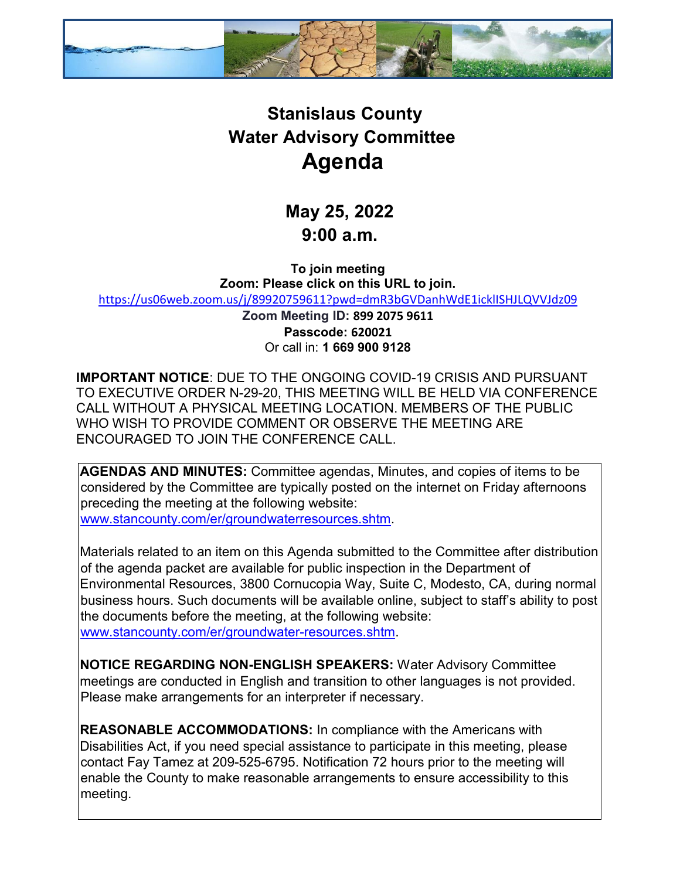

## **Stanislaus County Water Advisory Committee Agenda**

**May 25, 2022 9:00 a.m.** 

**To join meeting Zoom: Please click on this URL to join.** <https://us06web.zoom.us/j/89920759611?pwd=dmR3bGVDanhWdE1icklISHJLQVVJdz09>

> **Zoom Meeting ID: 899 2075 9611 Passcode: 620021** Or call in: **1 669 900 9128**

**IMPORTANT NOTICE**: DUE TO THE ONGOING COVID-19 CRISIS AND PURSUANT TO EXECUTIVE ORDER N-29-20, THIS MEETING WILL BE HELD VIA CONFERENCE CALL WITHOUT A PHYSICAL MEETING LOCATION. MEMBERS OF THE PUBLIC WHO WISH TO PROVIDE COMMENT OR OBSERVE THE MEETING ARE ENCOURAGED TO JOIN THE CONFERENCE CALL.

**AGENDAS AND MINUTES:** Committee agendas, Minutes, and copies of items to be considered by the Committee are typically posted on the internet on Friday afternoons preceding the meeting at the following website: [www.stancounty.com/er/groundwaterresources.shtm.](http://www.stancounty.com/er/groundwater-resources.shtm) 

Materials related to an item on this Agenda submitted to the Committee after distribution of the agenda packet are available for public inspection in the Department of Environmental Resources, 3800 Cornucopia Way, Suite C, Modesto, CA, during normal business hours. Such documents will be available online, subject to staff's ability to post the documents before the meeting, at the following website: [www.stancounty.com/er/groundwater-resources.shtm.](http://www.stancounty.com/er/groundwater-resources.shtm) 

**NOTICE REGARDING NON-ENGLISH SPEAKERS:** Water Advisory Committee meetings are conducted in English and transition to other languages is not provided. Please make arrangements for an interpreter if necessary.

**REASONABLE ACCOMMODATIONS:** In compliance with the Americans with Disabilities Act, if you need special assistance to participate in this meeting, please contact Fay Tamez at 209-525-6795. Notification 72 hours prior to the meeting will enable the County to make reasonable arrangements to ensure accessibility to this meeting.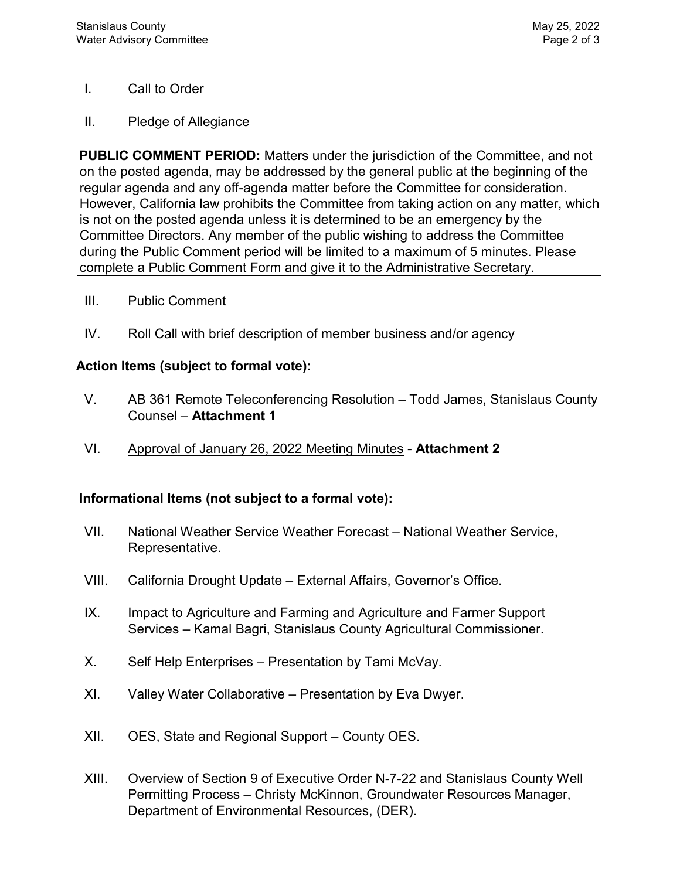## I. Call to Order

II. Pledge of Allegiance

**PUBLIC COMMENT PERIOD:** Matters under the jurisdiction of the Committee, and not on the posted agenda, may be addressed by the general public at the beginning of the regular agenda and any off-agenda matter before the Committee for consideration. However, California law prohibits the Committee from taking action on any matter, which is not on the posted agenda unless it is determined to be an emergency by the Committee Directors. Any member of the public wishing to address the Committee during the Public Comment period will be limited to a maximum of 5 minutes. Please complete a Public Comment Form and give it to the Administrative Secretary.

- III. Public Comment
- IV. Roll Call with brief description of member business and/or agency

## **Action Items (subject to formal vote):**

- V. AB 361 Remote Teleconferencing Resolution Todd James, Stanislaus County Counsel – **Attachment 1**
- VI. Approval of January 26, 2022 Meeting Minutes **Attachment 2**

## **Informational Items (not subject to a formal vote):**

- VII. National Weather Service Weather Forecast National Weather Service, Representative.
- VIII. California Drought Update External Affairs, Governor's Office.
- IX. Impact to Agriculture and Farming and Agriculture and Farmer Support Services – Kamal Bagri, Stanislaus County Agricultural Commissioner.
- X. Self Help Enterprises Presentation by Tami McVay.
- XI. Valley Water Collaborative Presentation by Eva Dwyer.
- XII. OES, State and Regional Support County OES.
- XIII. Overview of Section 9 of Executive Order N-7-22 and Stanislaus County Well Permitting Process – Christy McKinnon, Groundwater Resources Manager, Department of Environmental Resources, (DER).